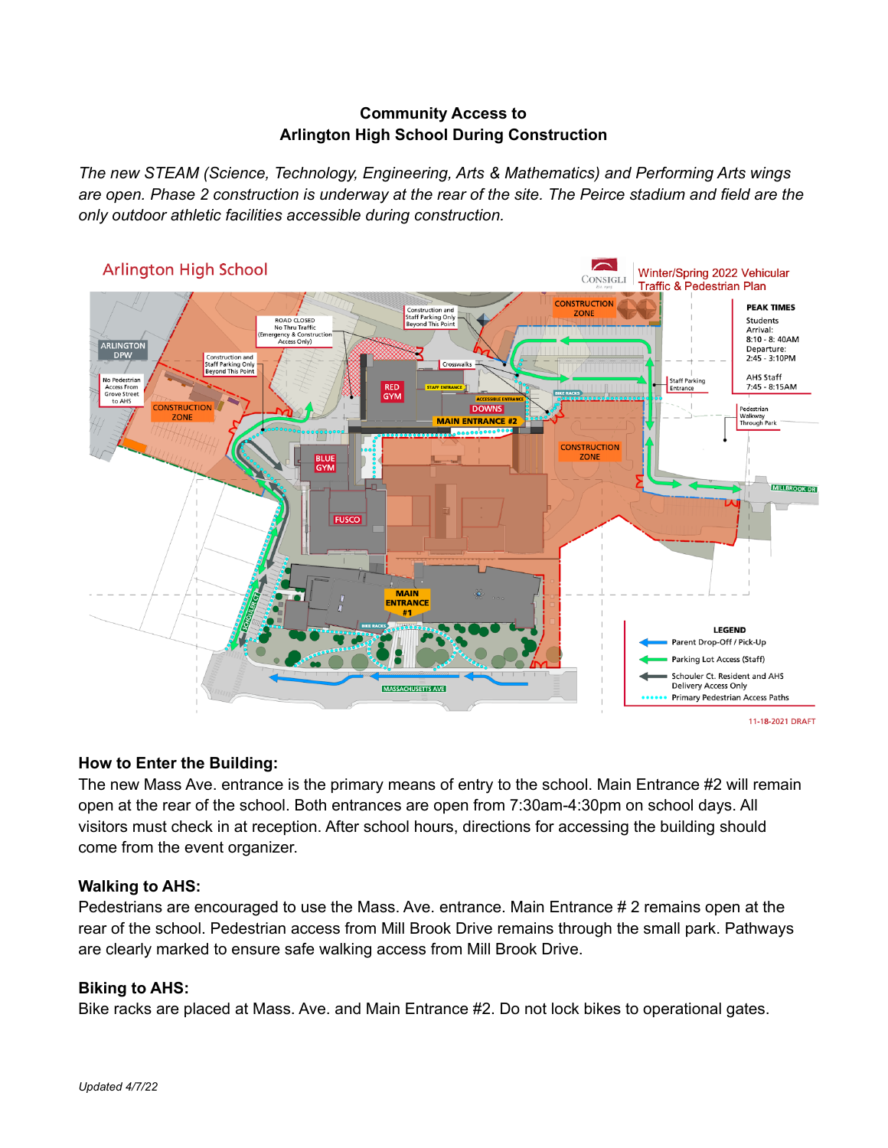## **Community Access to Arlington High School During Construction**

*The new STEAM (Science, Technology, Engineering, Arts & Mathematics) and Performing Arts wings* are open. Phase 2 construction is underway at the rear of the site. The Peirce stadium and field are the *only outdoor athletic facilities accessible during construction.*



# **How to Enter the Building:**

The new Mass Ave. entrance is the primary means of entry to the school. Main Entrance #2 will remain open at the rear of the school. Both entrances are open from 7:30am-4:30pm on school days. All visitors must check in at reception. After school hours, directions for accessing the building should come from the event organizer.

# **Walking to AHS:**

Pedestrians are encouraged to use the Mass. Ave. entrance. Main Entrance # 2 remains open at the rear of the school. Pedestrian access from Mill Brook Drive remains through the small park. Pathways are clearly marked to ensure safe walking access from Mill Brook Drive.

#### **Biking to AHS:**

Bike racks are placed at Mass. Ave. and Main Entrance #2. Do not lock bikes to operational gates.